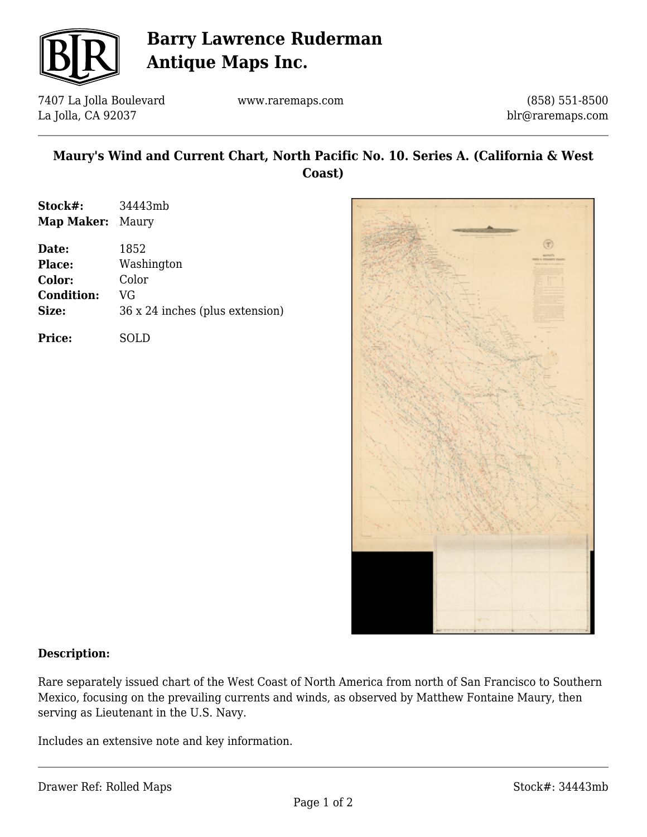

# **Barry Lawrence Ruderman Antique Maps Inc.**

7407 La Jolla Boulevard La Jolla, CA 92037

www.raremaps.com

(858) 551-8500 blr@raremaps.com

## **Maury's Wind and Current Chart, North Pacific No. 10. Series A. (California & West Coast)**

| Stock#:    | 34443mb |
|------------|---------|
| Map Maker: | Maury   |

| Date:             | 1852                            |
|-------------------|---------------------------------|
| <b>Place:</b>     | Washington                      |
| Color:            | Color                           |
| <b>Condition:</b> | VG                              |
| Size:             | 36 x 24 inches (plus extension) |
| <b>Price:</b>     |                                 |



#### **Description:**

Rare separately issued chart of the West Coast of North America from north of San Francisco to Southern Mexico, focusing on the prevailing currents and winds, as observed by Matthew Fontaine Maury, then serving as Lieutenant in the U.S. Navy.

Includes an extensive note and key information.